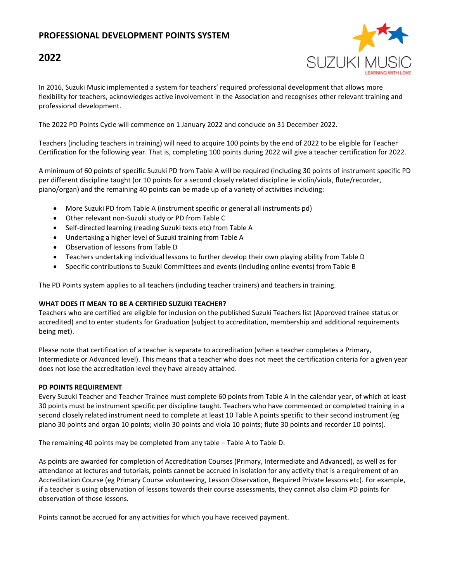## **PROFESSIONAL DEVELOPMENT POINTS SYSTEM**

# **2022**



In 2016, Suzuki Music implemented a system for teachers' required professional development that allows more flexibility for teachers, acknowledges active involvement in the Association and recognises other relevant training and professional development.

The 2022 PD Points Cycle will commence on 1 January 2022 and conclude on 31 December 2022.

Teachers (including teachers in training) will need to acquire 100 points by the end of 2022 to be eligible for Teacher Certification for the following year. That is, completing 100 points during 2022 will give a teacher certification for 2022.

A minimum of 60 points of specific Suzuki PD from Table A will be required (including 30 points of instrument specific PD per different discipline taught (or 10 points for a second closely related discipline ie violin/viola, flute/recorder, piano/organ) and the remaining 40 points can be made up of a variety of activities including:

- More Suzuki PD from Table A (instrument specific or general all instruments pd)
- Other relevant non-Suzuki study or PD from Table C
- Self-directed learning (reading Suzuki texts etc) from Table A
- Undertaking a higher level of Suzuki training from Table A
- Observation of lessons from Table D
- Teachers undertaking individual lessons to further develop their own playing ability from Table D
- Specific contributions to Suzuki Committees and events (including online events) from Table B

The PD Points system applies to all teachers (including teacher trainers) and teachers in training.

#### **WHAT DOES IT MEAN TO BE A CERTIFIED SUZUKI TEACHER?**

Teachers who are certified are eligible for inclusion on the published Suzuki Teachers list (Approved trainee status or accredited) and to enter students for Graduation (subject to accreditation, membership and additional requirements being met).

Please note that certification of a teacher is separate to accreditation (when a teacher completes a Primary, Intermediate or Advanced level). This means that a teacher who does not meet the certification criteria for a given year does not lose the accreditation level they have already attained.

#### **PD POINTS REQUIREMENT**

Every Suzuki Teacher and Teacher Trainee must complete 60 points from Table A in the calendar year, of which at least 30 points must be instrument specific per discipline taught. Teachers who have commenced or completed training in a second closely related instrument need to complete at least 10 Table A points specific to their second instrument (eg piano 30 points and organ 10 points; violin 30 points and viola 10 points; flute 30 points and recorder 10 points).

The remaining 40 points may be completed from any table – Table A to Table D.

As points are awarded for completion of Accreditation Courses (Primary, Intermediate and Advanced), as well as for attendance at lectures and tutorials, points cannot be accrued in isolation for any activity that is a requirement of an Accreditation Course (eg Primary Course volunteering, Lesson Observation, Required Private lessons etc). For example, if a teacher is using observation of lessons towards their course assessments, they cannot also claim PD points for observation of those lessons.

Points cannot be accrued for any activities for which you have received payment.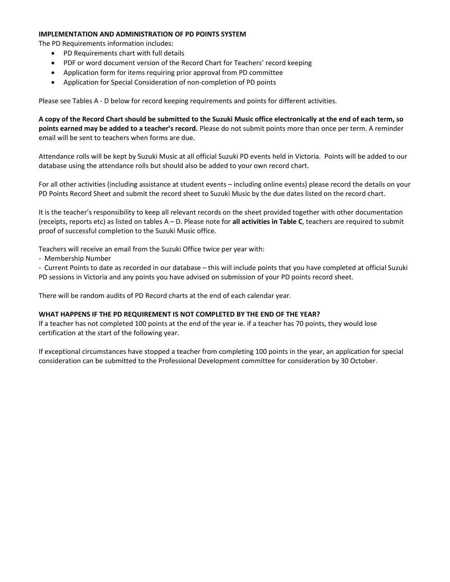#### **IMPLEMENTATION AND ADMINISTRATION OF PD POINTS SYSTEM**

The PD Requirements information includes:

- PD Requirements chart with full details
- PDF or word document version of the Record Chart for Teachers' record keeping
- Application form for items requiring prior approval from PD committee
- Application for Special Consideration of non-completion of PD points

Please see Tables A ‐ D below for record keeping requirements and points for different activities.

A copy of the Record Chart should be submitted to the Suzuki Music office electronically at the end of each term, so **points earned may be added to a teacher's record.** Please do not submit points more than once per term. A reminder email will be sent to teachers when forms are due.

Attendance rolls will be kept by Suzuki Music at all official Suzuki PD events held in Victoria. Points will be added to our database using the attendance rolls but should also be added to your own record chart.

For all other activities (including assistance at student events – including online events) please record the details on your PD Points Record Sheet and submit the record sheet to Suzuki Music by the due dates listed on the record chart.

It is the teacher's responsibility to keep all relevant records on the sheet provided together with other documentation (receipts, reports etc) as listed on tables A – D. Please note for **all activities in Table C**, teachers are required to submit proof of successful completion to the Suzuki Music office.

Teachers will receive an email from the Suzuki Office twice per year with:

‐ Membership Number

‐ Current Points to date as recorded in our database – this will include points that you have completed at official Suzuki PD sessions in Victoria and any points you have advised on submission of your PD points record sheet.

There will be random audits of PD Record charts at the end of each calendar year.

#### **WHAT HAPPENS IF THE PD REQUIREMENT IS NOT COMPLETED BY THE END OF THE YEAR?**

If a teacher has not completed 100 points at the end of the year ie. if a teacher has 70 points, they would lose certification at the start of the following year.

If exceptional circumstances have stopped a teacher from completing 100 points in the year, an application for special consideration can be submitted to the Professional Development committee for consideration by 30 October.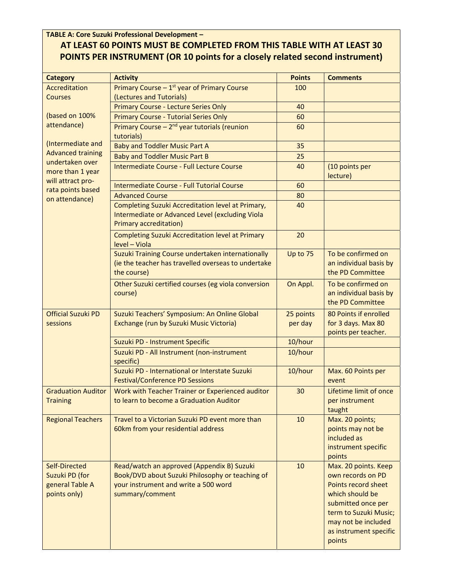**TABLE A: Core Suzuki Professional Development –**

# **AT LEAST 60 POINTS MUST BE COMPLETED FROM THIS TABLE WITH AT LEAST 30 POINTS PER INSTRUMENT (OR 10 points for a closely related second instrument)**

| <b>Category</b>                                                    | <b>Activity</b>                                                                                                                                          | <b>Points</b> | <b>Comments</b>                                                                                                                                                                               |
|--------------------------------------------------------------------|----------------------------------------------------------------------------------------------------------------------------------------------------------|---------------|-----------------------------------------------------------------------------------------------------------------------------------------------------------------------------------------------|
| Accreditation                                                      | Primary Course $-1^{st}$ year of Primary Course                                                                                                          | 100           |                                                                                                                                                                                               |
| <b>Courses</b>                                                     | (Lectures and Tutorials)                                                                                                                                 |               |                                                                                                                                                                                               |
|                                                                    | Primary Course - Lecture Series Only                                                                                                                     | 40            |                                                                                                                                                                                               |
| (based on 100%                                                     | <b>Primary Course - Tutorial Series Only</b>                                                                                                             | 60            |                                                                                                                                                                                               |
| attendance)                                                        | Primary Course - 2 <sup>nd</sup> year tutorials (reunion<br>tutorials)                                                                                   | 60            |                                                                                                                                                                                               |
| (Intermediate and                                                  | <b>Baby and Toddler Music Part A</b>                                                                                                                     | 35            |                                                                                                                                                                                               |
| <b>Advanced training</b>                                           | <b>Baby and Toddler Music Part B</b>                                                                                                                     | 25            |                                                                                                                                                                                               |
| undertaken over<br>more than 1 year                                | Intermediate Course - Full Lecture Course                                                                                                                | 40            | (10 points per<br>lecture)                                                                                                                                                                    |
| will attract pro-                                                  | Intermediate Course - Full Tutorial Course                                                                                                               | 60            |                                                                                                                                                                                               |
| rata points based<br>on attendance)                                | <b>Advanced Course</b>                                                                                                                                   | 80            |                                                                                                                                                                                               |
|                                                                    | Completing Suzuki Accreditation level at Primary,<br>Intermediate or Advanced Level (excluding Viola<br><b>Primary accreditation)</b>                    | 40            |                                                                                                                                                                                               |
|                                                                    | <b>Completing Suzuki Accreditation level at Primary</b><br>level - Viola                                                                                 | 20            |                                                                                                                                                                                               |
|                                                                    | Suzuki Training Course undertaken internationally<br>(ie the teacher has travelled overseas to undertake<br>the course)                                  | Up to 75      | To be confirmed on<br>an individual basis by<br>the PD Committee                                                                                                                              |
|                                                                    | Other Suzuki certified courses (eg viola conversion<br>course)                                                                                           | On Appl.      | To be confirmed on<br>an individual basis by<br>the PD Committee                                                                                                                              |
| <b>Official Suzuki PD</b>                                          | Suzuki Teachers' Symposium: An Online Global                                                                                                             | 25 points     | 80 Points if enrolled                                                                                                                                                                         |
| sessions                                                           | Exchange (run by Suzuki Music Victoria)                                                                                                                  | per day       | for 3 days. Max 80<br>points per teacher.                                                                                                                                                     |
|                                                                    | Suzuki PD - Instrument Specific                                                                                                                          | 10/hour       |                                                                                                                                                                                               |
|                                                                    | Suzuki PD - All Instrument (non-instrument<br>specific)                                                                                                  | 10/hour       |                                                                                                                                                                                               |
|                                                                    | Suzuki PD - International or Interstate Suzuki<br><b>Festival/Conference PD Sessions</b>                                                                 | 10/hour       | Max. 60 Points per<br>event                                                                                                                                                                   |
| <b>Graduation Auditor</b><br><b>Training</b>                       | Work with Teacher Trainer or Experienced auditor<br>to learn to become a Graduation Auditor                                                              | 30            | Lifetime limit of once<br>per instrument<br>taught                                                                                                                                            |
| <b>Regional Teachers</b>                                           | Travel to a Victorian Suzuki PD event more than<br>60km from your residential address                                                                    | 10            | Max. 20 points;<br>points may not be<br>included as<br>instrument specific<br>points                                                                                                          |
| Self-Directed<br>Suzuki PD (for<br>general Table A<br>points only) | Read/watch an approved (Appendix B) Suzuki<br>Book/DVD about Suzuki Philosophy or teaching of<br>your instrument and write a 500 word<br>summary/comment | 10            | Max. 20 points. Keep<br>own records on PD<br>Points record sheet<br>which should be<br>submitted once per<br>term to Suzuki Music;<br>may not be included<br>as instrument specific<br>points |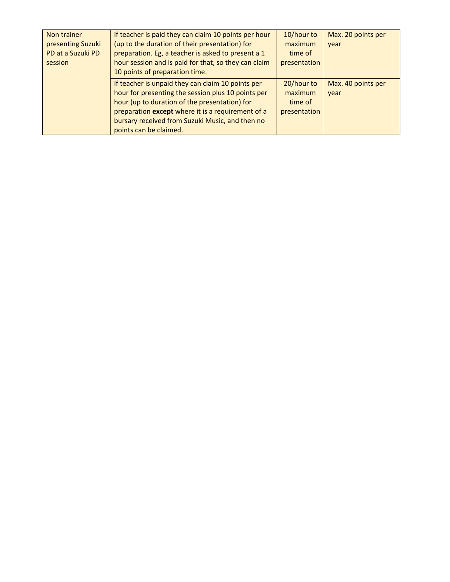| Non trainer       | If teacher is paid they can claim 10 points per hour | 10/hour to   | Max. 20 points per |
|-------------------|------------------------------------------------------|--------------|--------------------|
| presenting Suzuki | (up to the duration of their presentation) for       | maximum      | vear               |
| PD at a Suzuki PD | preparation. Eg, a teacher is asked to present a 1   | time of      |                    |
| session           | hour session and is paid for that, so they can claim | presentation |                    |
|                   | 10 points of preparation time.                       |              |                    |
|                   | If teacher is unpaid they can claim 10 points per    | 20/hour to   | Max. 40 points per |
|                   | hour for presenting the session plus 10 points per   | maximum      | year               |
|                   | hour (up to duration of the presentation) for        | time of      |                    |
|                   | preparation except where it is a requirement of a    | presentation |                    |
|                   | bursary received from Suzuki Music, and then no      |              |                    |
|                   | points can be claimed.                               |              |                    |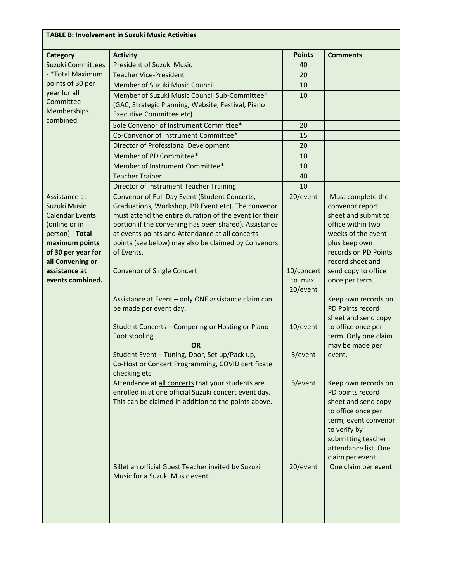| <b>TABLE B: Involvement in Suzuki Music Activities</b>                                                                                                                                       |                                                                                                                                                                                                                                                                                                                                                                                                                                                                                                                                                                                                                                                                              |                                                                      |                                                                                                                                                                                                                                                                                                                                                           |  |
|----------------------------------------------------------------------------------------------------------------------------------------------------------------------------------------------|------------------------------------------------------------------------------------------------------------------------------------------------------------------------------------------------------------------------------------------------------------------------------------------------------------------------------------------------------------------------------------------------------------------------------------------------------------------------------------------------------------------------------------------------------------------------------------------------------------------------------------------------------------------------------|----------------------------------------------------------------------|-----------------------------------------------------------------------------------------------------------------------------------------------------------------------------------------------------------------------------------------------------------------------------------------------------------------------------------------------------------|--|
| <b>Category</b>                                                                                                                                                                              | <b>Activity</b>                                                                                                                                                                                                                                                                                                                                                                                                                                                                                                                                                                                                                                                              | <b>Points</b>                                                        | <b>Comments</b>                                                                                                                                                                                                                                                                                                                                           |  |
| Suzuki Committees                                                                                                                                                                            | <b>President of Suzuki Music</b>                                                                                                                                                                                                                                                                                                                                                                                                                                                                                                                                                                                                                                             | 40                                                                   |                                                                                                                                                                                                                                                                                                                                                           |  |
| - *Total Maximum<br>points of 30 per<br>year for all<br>Committee<br>Memberships                                                                                                             | <b>Teacher Vice-President</b>                                                                                                                                                                                                                                                                                                                                                                                                                                                                                                                                                                                                                                                | 20                                                                   |                                                                                                                                                                                                                                                                                                                                                           |  |
|                                                                                                                                                                                              | Member of Suzuki Music Council                                                                                                                                                                                                                                                                                                                                                                                                                                                                                                                                                                                                                                               | 10                                                                   |                                                                                                                                                                                                                                                                                                                                                           |  |
|                                                                                                                                                                                              | Member of Suzuki Music Council Sub-Committee*<br>(GAC, Strategic Planning, Website, Festival, Piano<br><b>Executive Committee etc)</b>                                                                                                                                                                                                                                                                                                                                                                                                                                                                                                                                       | 10                                                                   |                                                                                                                                                                                                                                                                                                                                                           |  |
| combined.                                                                                                                                                                                    | Sole Convenor of Instrument Committee*                                                                                                                                                                                                                                                                                                                                                                                                                                                                                                                                                                                                                                       | 20                                                                   |                                                                                                                                                                                                                                                                                                                                                           |  |
|                                                                                                                                                                                              | Co-Convenor of Instrument Committee*                                                                                                                                                                                                                                                                                                                                                                                                                                                                                                                                                                                                                                         | 15                                                                   |                                                                                                                                                                                                                                                                                                                                                           |  |
|                                                                                                                                                                                              | Director of Professional Development                                                                                                                                                                                                                                                                                                                                                                                                                                                                                                                                                                                                                                         | 20                                                                   |                                                                                                                                                                                                                                                                                                                                                           |  |
|                                                                                                                                                                                              | Member of PD Committee*                                                                                                                                                                                                                                                                                                                                                                                                                                                                                                                                                                                                                                                      | 10                                                                   |                                                                                                                                                                                                                                                                                                                                                           |  |
|                                                                                                                                                                                              | Member of Instrument Committee*                                                                                                                                                                                                                                                                                                                                                                                                                                                                                                                                                                                                                                              | 10                                                                   |                                                                                                                                                                                                                                                                                                                                                           |  |
|                                                                                                                                                                                              | <b>Teacher Trainer</b>                                                                                                                                                                                                                                                                                                                                                                                                                                                                                                                                                                                                                                                       | 40                                                                   |                                                                                                                                                                                                                                                                                                                                                           |  |
|                                                                                                                                                                                              | Director of Instrument Teacher Training                                                                                                                                                                                                                                                                                                                                                                                                                                                                                                                                                                                                                                      | 10                                                                   |                                                                                                                                                                                                                                                                                                                                                           |  |
| Assistance at<br>Suzuki Music<br><b>Calendar Events</b><br>(online or in<br>person) - Total<br>maximum points<br>of 30 per year for<br>all Convening or<br>assistance at<br>events combined. | Convenor of Full Day Event (Student Concerts,<br>Graduations, Workshop, PD Event etc). The convenor<br>must attend the entire duration of the event (or their<br>portion if the convening has been shared). Assistance<br>at events points and Attendance at all concerts<br>points (see below) may also be claimed by Convenors<br>of Events.<br><b>Convenor of Single Concert</b><br>Assistance at Event - only ONE assistance claim can<br>be made per event day.<br>Student Concerts - Compering or Hosting or Piano<br>Foot stooling<br><b>OR</b><br>Student Event - Tuning, Door, Set up/Pack up,<br>Co-Host or Concert Programming, COVID certificate<br>checking etc | 20/event<br>10/concert<br>to max.<br>20/event<br>10/event<br>5/event | Must complete the<br>convenor report<br>sheet and submit to<br>office within two<br>weeks of the event<br>plus keep own<br>records on PD Points<br>record sheet and<br>send copy to office<br>once per term.<br>Keep own records on<br>PD Points record<br>sheet and send copy<br>to office once per<br>term. Only one claim<br>may be made per<br>event. |  |
|                                                                                                                                                                                              | Attendance at all concerts that your students are<br>enrolled in at one official Suzuki concert event day.<br>This can be claimed in addition to the points above.<br>Billet an official Guest Teacher invited by Suzuki<br>Music for a Suzuki Music event.                                                                                                                                                                                                                                                                                                                                                                                                                  | 5/event<br>20/event                                                  | Keep own records on<br>PD points record<br>sheet and send copy<br>to office once per<br>term; event convenor<br>to verify by<br>submitting teacher<br>attendance list. One<br>claim per event.<br>One claim per event.                                                                                                                                    |  |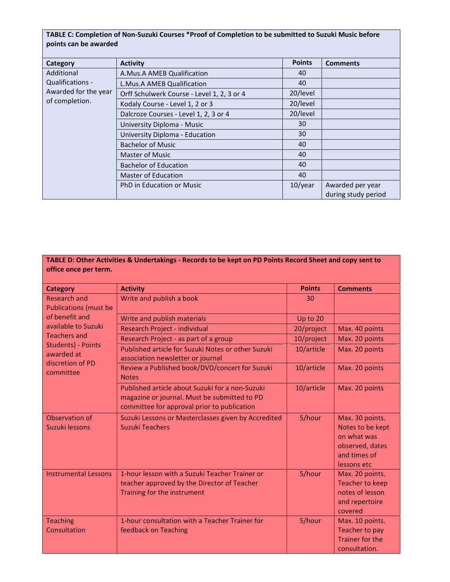## TABLE C: Completion of Non-Suzuki Courses \*Proof of Completion to be submitted to Suzuki Music before **points can be awarded**

| Category                                                                 | <b>Activity</b>                            | <b>Points</b> | <b>Comments</b>     |
|--------------------------------------------------------------------------|--------------------------------------------|---------------|---------------------|
| Additional<br>Qualifications -<br>Awarded for the year<br>of completion. | A.Mus.A AMEB Qualification                 | 40            |                     |
|                                                                          | L.Mus.A AMEB Qualification                 | 40            |                     |
|                                                                          | Orff Schulwerk Course - Level 1, 2, 3 or 4 | 20/level      |                     |
|                                                                          | Kodaly Course - Level 1, 2 or 3            | 20/level      |                     |
|                                                                          | Dalcroze Courses - Level 1, 2, 3 or 4      | 20/level      |                     |
|                                                                          | University Diploma - Music                 | 30            |                     |
|                                                                          | University Diploma - Education             | 30            |                     |
|                                                                          | <b>Bachelor of Music</b>                   | 40            |                     |
|                                                                          | Master of Music                            | 40            |                     |
|                                                                          | <b>Bachelor of Education</b>               | 40            |                     |
|                                                                          | <b>Master of Education</b>                 | 40            |                     |
|                                                                          | PhD in Education or Music                  | $10$ /year    | Awarded per year    |
|                                                                          |                                            |               | during study period |

| TABLE D: Other Activities & Undertakings - Records to be kept on PD Points Record Sheet and copy sent to<br>office once per term. |                                                                                                                                                |               |                                                                                                      |
|-----------------------------------------------------------------------------------------------------------------------------------|------------------------------------------------------------------------------------------------------------------------------------------------|---------------|------------------------------------------------------------------------------------------------------|
| <b>Category</b>                                                                                                                   | <b>Activity</b>                                                                                                                                | <b>Points</b> | <b>Comments</b>                                                                                      |
| <b>Research and</b><br><b>Publications (must be</b>                                                                               | Write and publish a book                                                                                                                       | 30            |                                                                                                      |
| of benefit and                                                                                                                    | Write and publish materials                                                                                                                    | Up to 20      |                                                                                                      |
| available to Suzuki                                                                                                               | Research Project - individual                                                                                                                  | 20/project    | Max. 40 points                                                                                       |
| <b>Teachers and</b>                                                                                                               | Research Project - as part of a group                                                                                                          | 10/project    | Max. 20 points                                                                                       |
| <b>Students) - Points</b><br>awarded at<br>discretion of PD<br>committee                                                          | Published article for Suzuki Notes or other Suzuki<br>association newsletter or journal                                                        | 10/article    | Max. 20 points                                                                                       |
|                                                                                                                                   | Review a Published book/DVD/concert for Suzuki<br><b>Notes</b>                                                                                 | 10/article    | Max. 20 points                                                                                       |
|                                                                                                                                   | Published article about Suzuki for a non-Suzuki<br>magazine or journal. Must be submitted to PD<br>committee for approval prior to publication | 10/article    | Max. 20 points                                                                                       |
| Observation of<br>Suzuki lessons                                                                                                  | Suzuki Lessons or Masterclasses given by Accredited<br><b>Suzuki Teachers</b>                                                                  | 5/hour        | Max. 30 points.<br>Notes to be kept<br>on what was<br>observed, dates<br>and times of<br>lessons etc |
| <b>Instrumental Lessons</b>                                                                                                       | 1-hour lesson with a Suzuki Teacher Trainer or<br>teacher approved by the Director of Teacher<br>Training for the instrument                   | 5/hour        | Max. 20 points.<br><b>Teacher to keep</b><br>notes of lesson<br>and repertoire<br>covered            |
| <b>Teaching</b><br>Consultation                                                                                                   | 1-hour consultation with a Teacher Trainer for<br>feedback on Teaching                                                                         | 5/hour        | Max. 10 points.<br><b>Teacher to pay</b><br><b>Trainer for the</b><br>consultation.                  |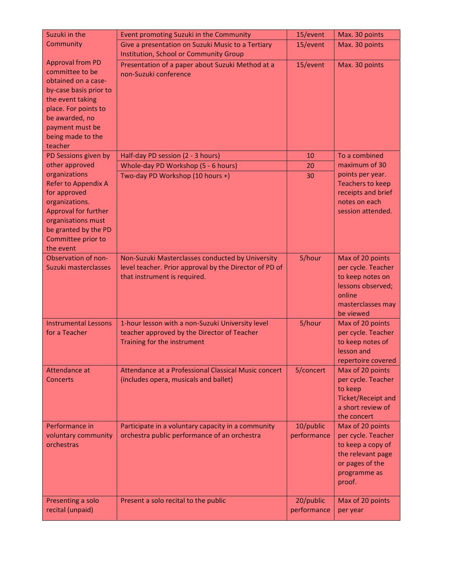| Suzuki in the                              | Event promoting Suzuki in the Community                | 15/event    | Max. 30 points                         |
|--------------------------------------------|--------------------------------------------------------|-------------|----------------------------------------|
| Community                                  | Give a presentation on Suzuki Music to a Tertiary      | 15/event    | Max. 30 points                         |
|                                            | Institution, School or Community Group                 |             |                                        |
| <b>Approval from PD</b>                    | Presentation of a paper about Suzuki Method at a       | 15/event    | Max. 30 points                         |
| committee to be                            | non-Suzuki conference                                  |             |                                        |
| obtained on a case-                        |                                                        |             |                                        |
| by-case basis prior to<br>the event taking |                                                        |             |                                        |
| place. For points to                       |                                                        |             |                                        |
| be awarded, no                             |                                                        |             |                                        |
| payment must be                            |                                                        |             |                                        |
| being made to the                          |                                                        |             |                                        |
| teacher                                    |                                                        |             |                                        |
| PD Sessions given by                       | Half-day PD session (2 - 3 hours)                      | 10          | To a combined                          |
| other approved                             | Whole-day PD Workshop (5 - 6 hours)                    | 20          | maximum of 30                          |
| organizations                              | Two-day PD Workshop (10 hours +)                       | 30          | points per year.                       |
| Refer to Appendix A                        |                                                        |             | <b>Teachers to keep</b>                |
| for approved                               |                                                        |             | receipts and brief                     |
| organizations.                             |                                                        |             | notes on each                          |
| Approval for further                       |                                                        |             | session attended.                      |
| organisations must                         |                                                        |             |                                        |
| be granted by the PD<br>Committee prior to |                                                        |             |                                        |
| the event                                  |                                                        |             |                                        |
| Observation of non-                        | Non-Suzuki Masterclasses conducted by University       | 5/hour      | Max of 20 points                       |
| Suzuki masterclasses                       | level teacher. Prior approval by the Director of PD of |             | per cycle. Teacher                     |
|                                            | that instrument is required.                           |             | to keep notes on                       |
|                                            |                                                        |             | lessons observed;                      |
|                                            |                                                        |             | online                                 |
|                                            |                                                        |             | masterclasses may                      |
|                                            |                                                        |             | be viewed                              |
| <b>Instrumental Lessons</b>                | 1-hour lesson with a non-Suzuki University level       | 5/hour      | Max of 20 points                       |
| for a Teacher                              | teacher approved by the Director of Teacher            |             | per cycle. Teacher                     |
|                                            | Training for the instrument                            |             | to keep notes of                       |
|                                            |                                                        |             | lesson and                             |
|                                            | Attendance at a Professional Classical Music concert   |             | repertoire covered                     |
| Attendance at<br><b>Concerts</b>           | (includes opera, musicals and ballet)                  | 5/concert   | Max of 20 points<br>per cycle. Teacher |
|                                            |                                                        |             | to keep                                |
|                                            |                                                        |             | <b>Ticket/Receipt and</b>              |
|                                            |                                                        |             | a short review of                      |
|                                            |                                                        |             | the concert                            |
| Performance in                             | Participate in a voluntary capacity in a community     | 10/public   | Max of 20 points                       |
| voluntary community                        | orchestra public performance of an orchestra           | performance | per cycle. Teacher                     |
| orchestras                                 |                                                        |             | to keep a copy of                      |
|                                            |                                                        |             | the relevant page                      |
|                                            |                                                        |             | or pages of the                        |
|                                            |                                                        |             | programme as                           |
|                                            |                                                        |             | proof.                                 |
| Presenting a solo                          | Present a solo recital to the public                   | 20/public   | Max of 20 points                       |
| recital (unpaid)                           |                                                        | performance | per year                               |
|                                            |                                                        |             |                                        |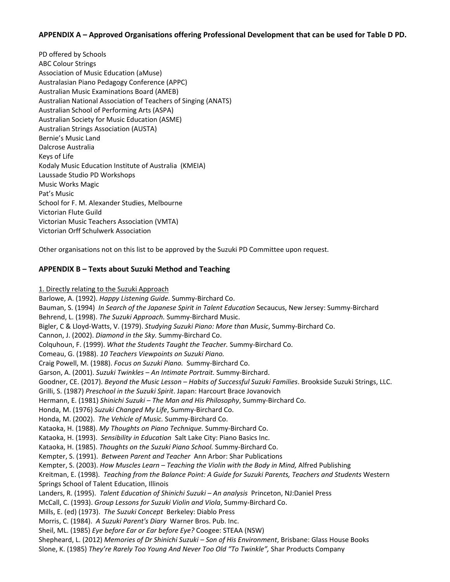### **APPENDIX A – Approved Organisations offering Professional Development that can be used for Table D PD.**

PD offered by Schools ABC Colour Strings Association of Music Education (aMuse) Australasian Piano Pedagogy Conference (APPC) Australian Music Examinations Board (AMEB) Australian National Association of Teachers of Singing (ANATS) Australian School of Performing Arts (ASPA) Australian Society for Music Education (ASME) Australian Strings Association (AUSTA) Bernie's Music Land Dalcrose Australia Keys of Life Kodaly Music Education Institute of Australia (KMEIA) Laussade Studio PD Workshops Music Works Magic Pat's Music School for F. M. Alexander Studies, Melbourne Victorian Flute Guild Victorian Music Teachers Association (VMTA) Victorian Orff Schulwerk Association

Other organisations not on this list to be approved by the Suzuki PD Committee upon request.

### **APPENDIX B – Texts about Suzuki Method and Teaching**

1. Directly relating to the Suzuki Approach

Barlowe, A. (1992). *Happy Listening Guide.* Summy‐Birchard Co. Bauman, S. (1994) *In Search of the Japanese Spirit in Talent Education* Secaucus, New Jersey: Summy‐Birchard Behrend, L. (1998). *The Suzuki Approach.* Summy‐Birchard Music. Bigler, C & Lloyd‐Watts, V. (1979). *Studying Suzuki Piano: More than Music*, Summy‐Birchard Co. Cannon, J. (2002). *Diamond in the Sky.* Summy‐Birchard Co. Colquhoun, F. (1999). *What the Students Taught the Teacher.* Summy‐Birchard Co. Comeau, G. (1988). *10 Teachers Viewpoints on Suzuki Piano.* Craig Powell, M. (1988). *Focus on Suzuki Piano.* Summy‐Birchard Co. Garson, A. (2001). *Suzuki Twinkles – An Intimate Portrait.* Summy‐Birchard. Goodner, CE. (2017). *Beyond the Music Lesson – Habits of Successful Suzuki Families*. Brookside Suzuki Strings, LLC. Grilli, S. (1987) *Preschool in the Suzuki Spirit*. Japan: Harcourt Brace Jovanovich Hermann, E. (1981) *Shinichi Suzuki – The Man and His Philosophy*, Summy‐Birchard Co. Honda, M. (1976) *Suzuki Changed My Life*, Summy‐Birchard Co. Honda, M. (2002). *The Vehicle of Music.* Summy‐Birchard Co. Kataoka, H. (1988). *My Thoughts on Piano Technique.* Summy‐Birchard Co. Kataoka, H. (1993). *Sensibility in Education* Salt Lake City: Piano Basics Inc. Kataoka, H. (1985). *Thoughts on the Suzuki Piano School.* Summy‐Birchard Co. Kempter, S. (1991). *Between Parent and Teacher* Ann Arbor: Shar Publications Kempter, S. (2003). *How Muscles Learn – Teaching the Violin with the Body in Mind,* Alfred Publishing Kreitman, E. (1998). *Teaching from the Balance Point: A Guide for Suzuki Parents, Teachers and Students* Western Springs School of Talent Education, Illinois Landers, R. (1995). *Talent Education of Shinichi Suzuki – An analysis* Princeton, NJ:Daniel Press McCall, C. (1993). *Group Lessons for Suzuki Violin and Viola*, Summy‐Birchard Co. Mills, E. (ed) (1973). *The Suzuki Concept* Berkeley: Diablo Press Morris, C. (1984). *A Suzuki Parent's Diary* Warner Bros. Pub. Inc. Sheil, ML. (1985) *Eye before Ear or Ear before Eye?* Coogee: STEAA (NSW) Shepheard, L. (2012) *Memories of Dr Shinichi Suzuki – Son of His Environment*, Brisbane: Glass House Books Slone, K. (1985) *They're Rarely Too Young And Never Too Old "To Twinkle",* Shar Products Company